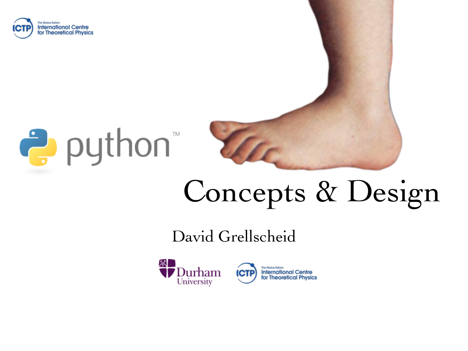





## Concepts & Design

#### David Grellscheid

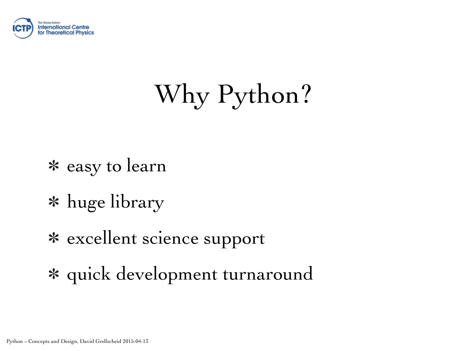

## Why Python?

- easy to learn
- huge library
- excellent science support
- quick development turnaround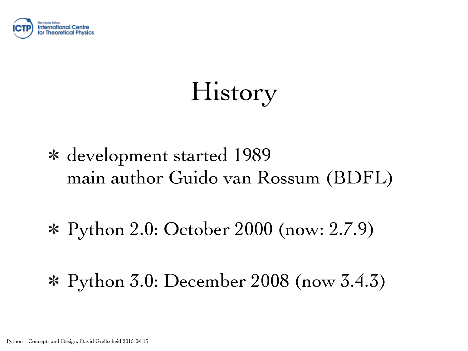

History

- development started 1989 main author Guido van Rossum (BDFL)
- Python 2.0: October 2000 (now: 2.7.9)
- Python 3.0: December 2008 (now 3.4.3)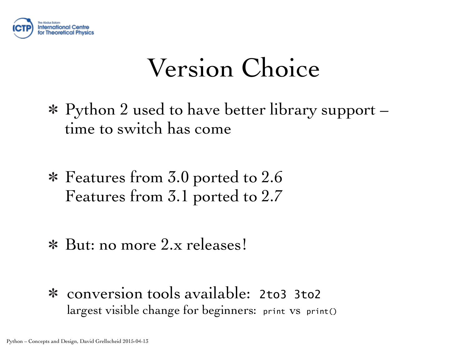

### Version Choice

- Python 2 used to have better library support time to switch has come
- Features from 3.0 ported to 2.6 Features from 3.1 ported to 2.7
- But: no more 2.x releases!
- conversion tools available: 2to3 3to2 largest visible change for beginners: print vs print()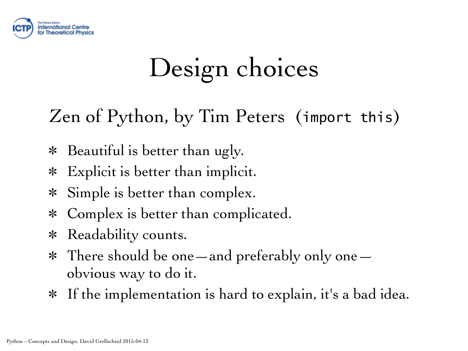

## Design choices

Zen of Python, by Tim Peters (import this)

- Beautiful is better than ugly.  $\ast$
- Explicit is better than implicit.  $\ast$
- Simple is better than complex.  $\ast$
- Complex is better than complicated.  $\ast$
- Readability counts.  $\ast$
- There should be one—and preferably only one—  $*$ obvious way to do it.
- If the implementation is hard to explain, it's a bad idea. $*$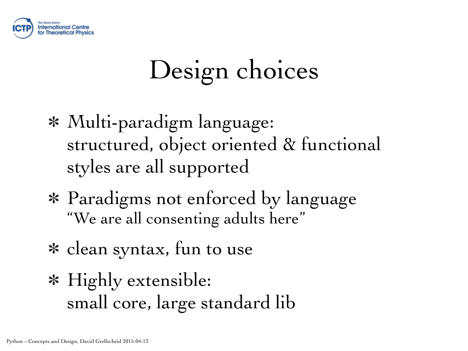

## Design choices

- Multi-paradigm language: structured, object oriented & functional styles are all supported
- Paradigms not enforced by language "We are all consenting adults here"
- clean syntax, fun to use
- Highly extensible: small core, large standard lib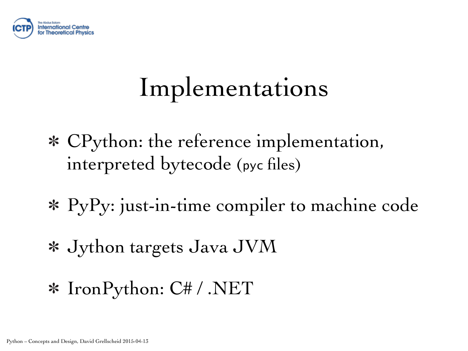

### Implementations

- CPython: the reference implementation, interpreted bytecode (pyc files)
- PyPy: just-in-time compiler to machine code
- Jython targets Java JVM
- IronPython: C# / .NET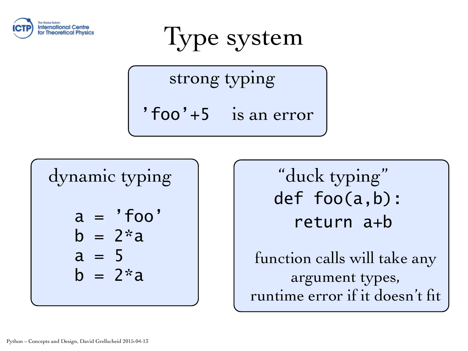

Type system

strong typing

'foo'+5 is an error

dynamic typing  $a = 'foo'$  $b = 2^{*}a$  $a = 5$  $b = 2^{*}a$ 

"duck typing" def foo(a,b): return a+b function calls will take any

argument types, runtime error if it doesn't fit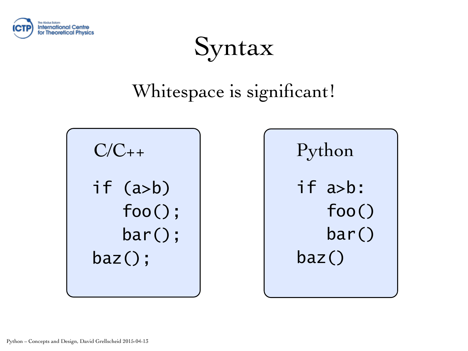

### Syntax

### Whitespace is significant!

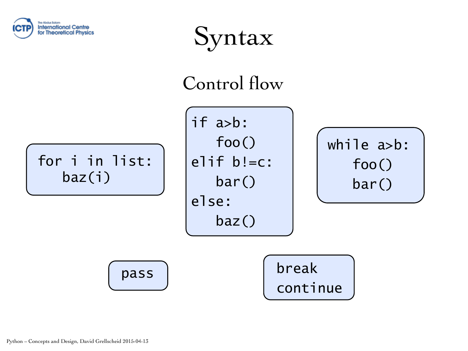

Syntax

#### Control flow

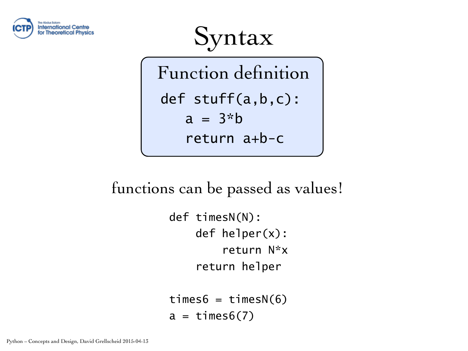

Syntax

Function definition def stuff(a,b,c):  $a = 3 * b$ return a+b-c

functions can be passed as values!

def timesN(N): def helper(x): return N\*x return helper

 $times6 = timesN(6)$  $a = \text{times}6(7)$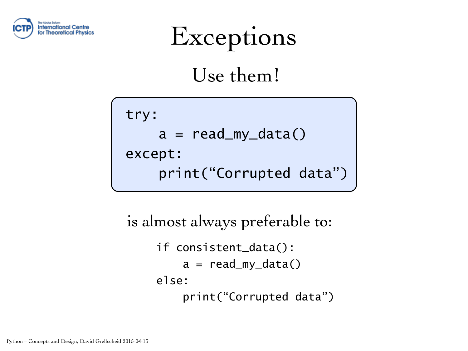



Use them!

try:  $a = read_my_data()$ except: print("Corrupted data")

```
if consistent_data(): 
         a = read_my_data()else: 
          print("Corrupted data")
is almost always preferable to:
```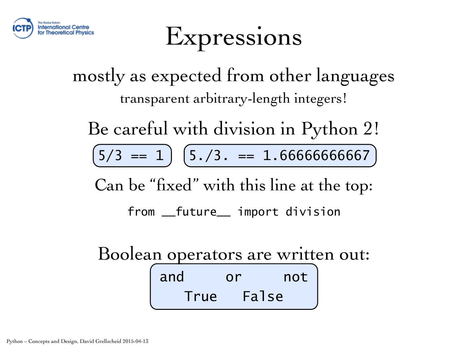

### Expressions

mostly as expected from other languages transparent arbitrary-length integers!

Be careful with division in Python 2!

 $(5/3 == 1)$   $(5./3. == 1.66666666667)$ 

Can be "fixed" with this line at the top:

from \_\_future\_\_ import division

Boolean operators are written out:

and or not True False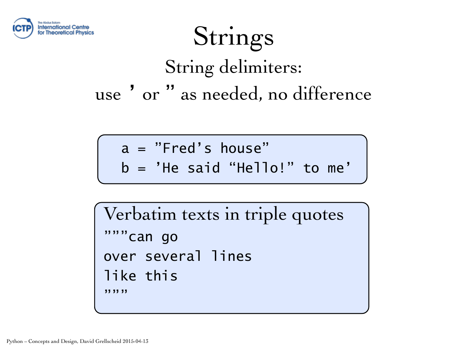

### Strings String delimiters: use ' or " as needed, no difference

a = "Fred's house"

b = 'He said "Hello!" to me'

Verbatim texts in triple quotes """can go over several lines like this **"**,,,,,,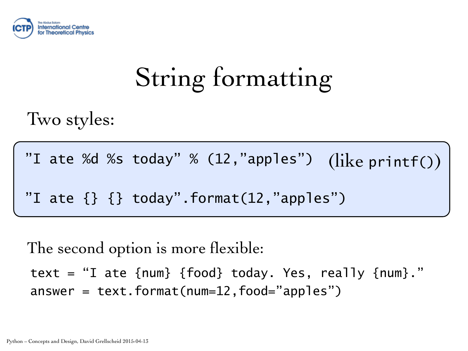

## String formatting

Two styles:

"I ate %d %s today" % (12,"apples") (like printf())

"I ate  $\{\}$   $\{\}$  today".format(12,"apples")

The second option is more flexible:

text = "I ate  ${num}$  {food} today. Yes, really  ${num}$ ." answer =  $text{text.format}(num=12,food='apples")$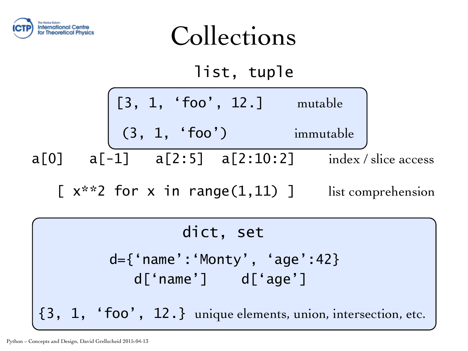

Collections list, tuple [3, 1, 'foo', 12.] mutable (3, 1, 'foo') immutable  $a[0]$   $a[-1]$   $a[2:5]$   $a[2:10:2]$  index / slice access [ $x^*$ ? for x in range(1,11) ] list comprehension

#### dict, set

d={'name':'Monty', 'age':42} d['name'] d['age']

{3, 1, 'foo', 12.} unique elements, union, intersection, etc.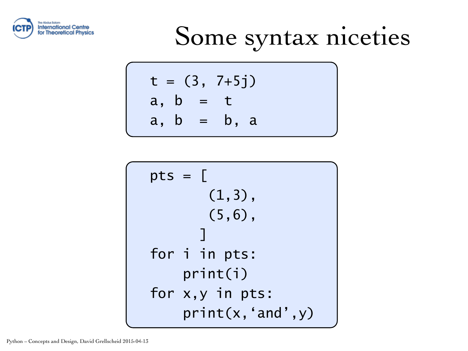

## Some syntax niceties

$$
t = (3, 7+5j)
$$
  
a, b = t  
a, b = b, a

$$
pts = [\n (1,3),\n (5,6),\n] for i in pts:\nprint(i)\nfor x,y in pts:\nprint(x, 'and', y)
$$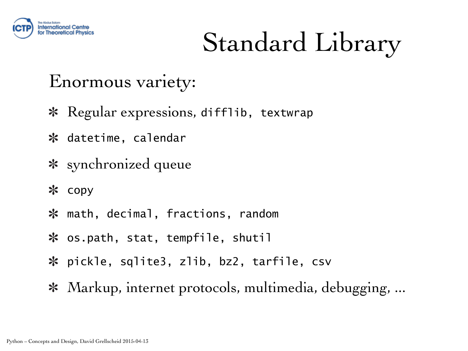

## Standard Library

#### Enormous variety:

- \* Regular expressions, difflib, textwrap
- \* datetime, calendar
- \* synchronized queue
- \* copy
- math, decimal, fractions, random
- os.path, stat, tempfile, shutil
- pickle, sqlite3, zlib, bz2, tarfile, csv
- \* Markup, internet protocols, multimedia, debugging, ...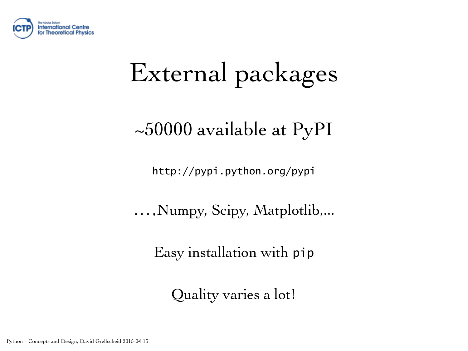

## External packages

~50000 available at PyPI

[http://pypi.python.org/pypi](https://pypi.python.org/pypi)

...,Numpy, Scipy, Matplotlib,...

Easy installation with pip

Quality varies a lot!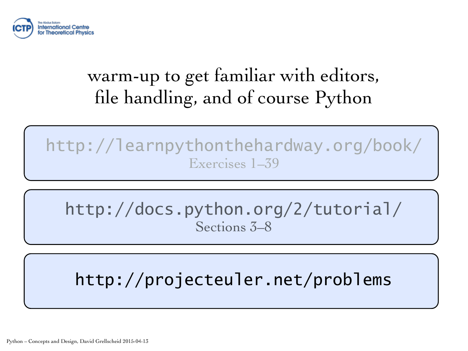

### warm-up to get familiar with editors, file handling, and of course Python

http://learnpythonthehardway.org/book/ Exercises 1–39

http://docs.python.org/2/tutorial/ Sections 3–8

http://projecteuler.net/problems